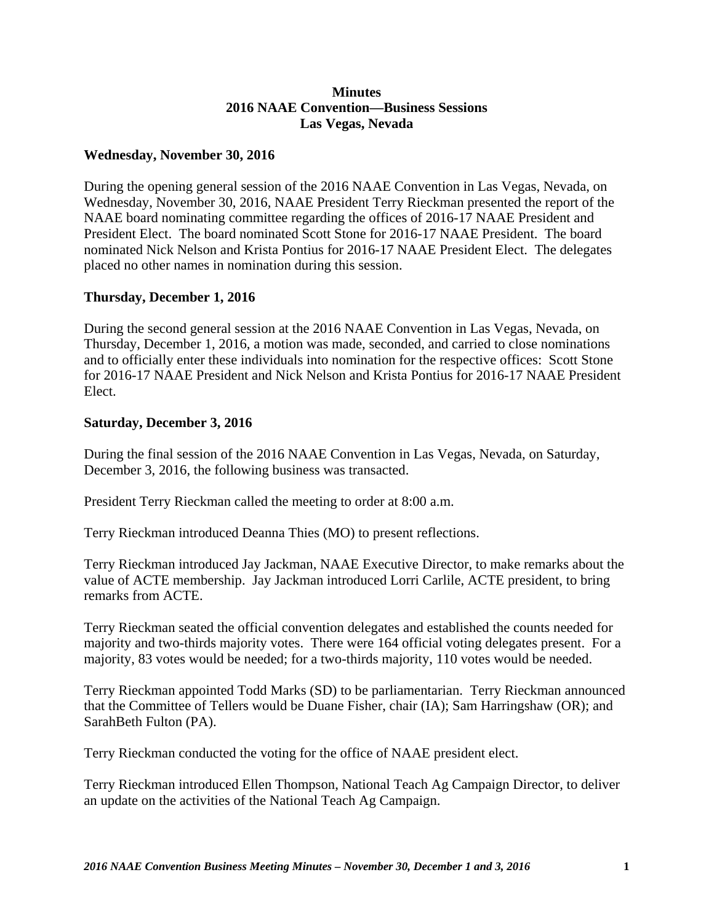## **Minutes 2016 NAAE Convention—Business Sessions Las Vegas, Nevada**

## **Wednesday, November 30, 2016**

During the opening general session of the 2016 NAAE Convention in Las Vegas, Nevada, on Wednesday, November 30, 2016, NAAE President Terry Rieckman presented the report of the NAAE board nominating committee regarding the offices of 2016-17 NAAE President and President Elect. The board nominated Scott Stone for 2016-17 NAAE President. The board nominated Nick Nelson and Krista Pontius for 2016-17 NAAE President Elect. The delegates placed no other names in nomination during this session.

## **Thursday, December 1, 2016**

During the second general session at the 2016 NAAE Convention in Las Vegas, Nevada, on Thursday, December 1, 2016, a motion was made, seconded, and carried to close nominations and to officially enter these individuals into nomination for the respective offices: Scott Stone for 2016-17 NAAE President and Nick Nelson and Krista Pontius for 2016-17 NAAE President Elect.

## **Saturday, December 3, 2016**

During the final session of the 2016 NAAE Convention in Las Vegas, Nevada, on Saturday, December 3, 2016, the following business was transacted.

President Terry Rieckman called the meeting to order at 8:00 a.m.

Terry Rieckman introduced Deanna Thies (MO) to present reflections.

Terry Rieckman introduced Jay Jackman, NAAE Executive Director, to make remarks about the value of ACTE membership. Jay Jackman introduced Lorri Carlile, ACTE president, to bring remarks from ACTE.

Terry Rieckman seated the official convention delegates and established the counts needed for majority and two-thirds majority votes. There were 164 official voting delegates present. For a majority, 83 votes would be needed; for a two-thirds majority, 110 votes would be needed.

Terry Rieckman appointed Todd Marks (SD) to be parliamentarian. Terry Rieckman announced that the Committee of Tellers would be Duane Fisher, chair (IA); Sam Harringshaw (OR); and SarahBeth Fulton (PA).

Terry Rieckman conducted the voting for the office of NAAE president elect.

Terry Rieckman introduced Ellen Thompson, National Teach Ag Campaign Director, to deliver an update on the activities of the National Teach Ag Campaign.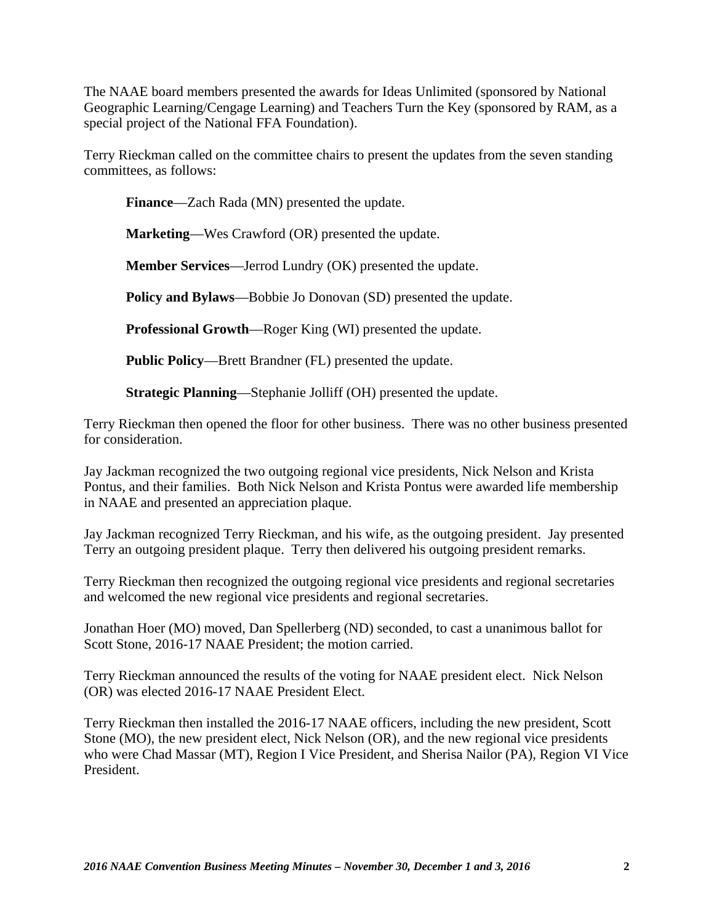The NAAE board members presented the awards for Ideas Unlimited (sponsored by National Geographic Learning/Cengage Learning) and Teachers Turn the Key (sponsored by RAM, as a special project of the National FFA Foundation).

Terry Rieckman called on the committee chairs to present the updates from the seven standing committees, as follows:

**Finance**—Zach Rada (MN) presented the update.

**Marketing**—Wes Crawford (OR) presented the update.

**Member Services**—Jerrod Lundry (OK) presented the update.

**Policy and Bylaws**—Bobbie Jo Donovan (SD) presented the update.

**Professional Growth**—Roger King (WI) presented the update.

**Public Policy**—Brett Brandner (FL) presented the update.

**Strategic Planning**—Stephanie Jolliff (OH) presented the update.

Terry Rieckman then opened the floor for other business. There was no other business presented for consideration.

Jay Jackman recognized the two outgoing regional vice presidents, Nick Nelson and Krista Pontus, and their families. Both Nick Nelson and Krista Pontus were awarded life membership in NAAE and presented an appreciation plaque.

Jay Jackman recognized Terry Rieckman, and his wife, as the outgoing president. Jay presented Terry an outgoing president plaque. Terry then delivered his outgoing president remarks.

Terry Rieckman then recognized the outgoing regional vice presidents and regional secretaries and welcomed the new regional vice presidents and regional secretaries.

Jonathan Hoer (MO) moved, Dan Spellerberg (ND) seconded, to cast a unanimous ballot for Scott Stone, 2016-17 NAAE President; the motion carried.

Terry Rieckman announced the results of the voting for NAAE president elect. Nick Nelson (OR) was elected 2016-17 NAAE President Elect.

Terry Rieckman then installed the 2016-17 NAAE officers, including the new president, Scott Stone (MO), the new president elect, Nick Nelson (OR), and the new regional vice presidents who were Chad Massar (MT), Region I Vice President, and Sherisa Nailor (PA), Region VI Vice President.